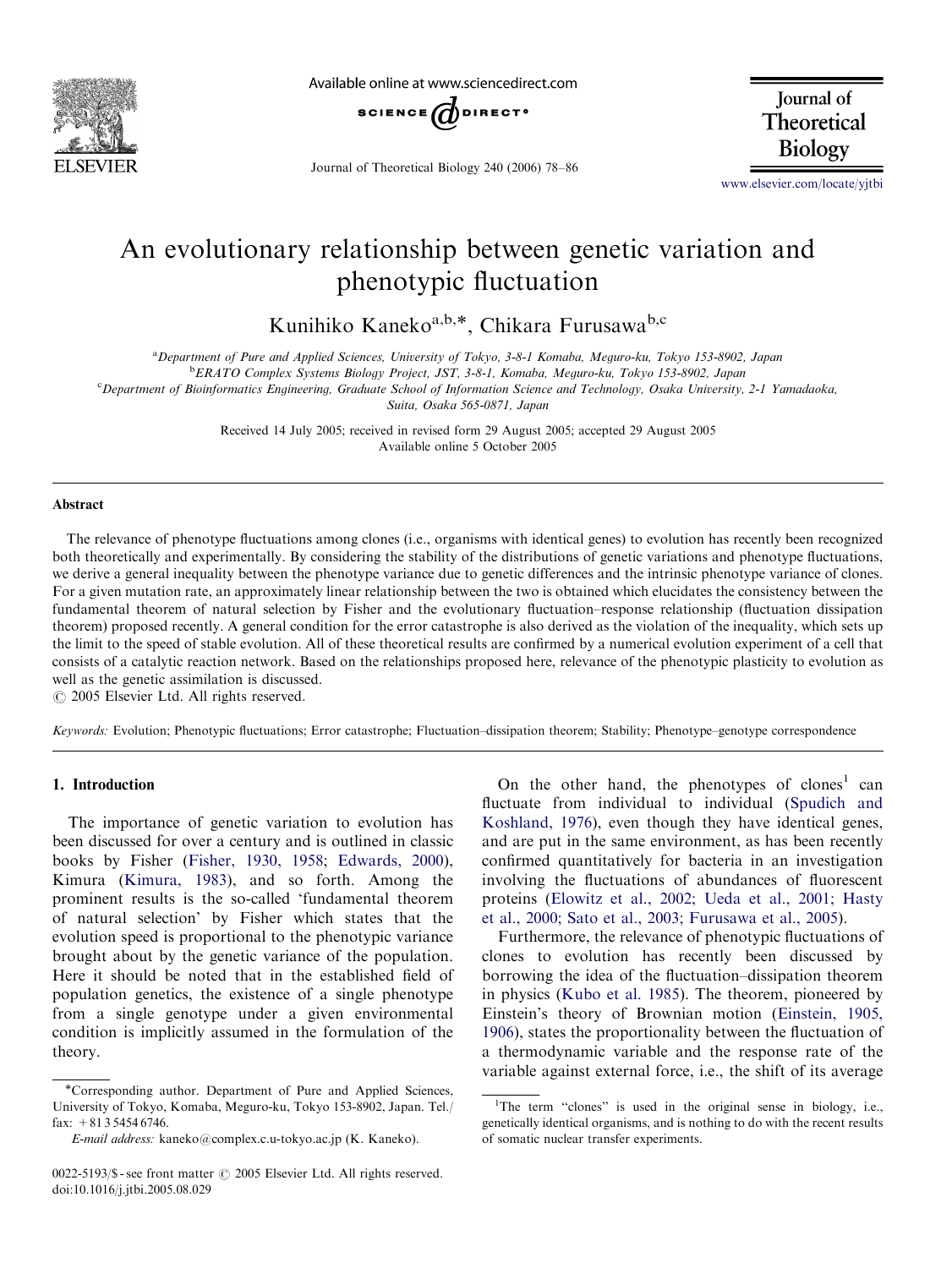

Available online at www.sciencedirect.com



Journal of Theoretical Biology 240 (2006) 78–86

Journal of Theoretical **Biology** 

<www.elsevier.com/locate/yjtbi>

# An evolutionary relationship between genetic variation and phenotypic fluctuation

Kunihiko Kaneko<sup>a,b,\*</sup>, Chikara Furusawa<sup>b,c</sup>

a Department of Pure and Applied Sciences, University of Tokyo, 3-8-1 Komaba, Meguro-ku, Tokyo 153-8902, Japan

<sup>b</sup>ERATO Complex Systems Biology Project, JST, 3-8-1, Komaba, Meguro-ku, Tokyo 153-8902, Japan

c Department of Bioinformatics Engineering, Graduate School of Information Science and Technology, Osaka University, 2-1 Yamadaoka,

Suita, Osaka 565-0871, Japan

Received 14 July 2005; received in revised form 29 August 2005; accepted 29 August 2005 Available online 5 October 2005

#### Abstract

The relevance of phenotype fluctuations among clones (i.e., organisms with identical genes) to evolution has recently been recognized both theoretically and experimentally. By considering the stability of the distributions of genetic variations and phenotype fluctuations, we derive a general inequality between the phenotype variance due to genetic differences and the intrinsic phenotype variance of clones. For a given mutation rate, an approximately linear relationship between the two is obtained which elucidates the consistency between the fundamental theorem of natural selection by Fisher and the evolutionary fluctuation–response relationship (fluctuation dissipation theorem) proposed recently. A general condition for the error catastrophe is also derived as the violation of the inequality, which sets up the limit to the speed of stable evolution. All of these theoretical results are confirmed by a numerical evolution experiment of a cell that consists of a catalytic reaction network. Based on the relationships proposed here, relevance of the phenotypic plasticity to evolution as well as the genetic assimilation is discussed.

 $\odot$  2005 Elsevier Ltd. All rights reserved.

Keywords: Evolution; Phenotypic fluctuations; Error catastrophe; Fluctuation–dissipation theorem; Stability; Phenotype–genotype correspondence

#### 1. Introduction

The importance of genetic variation to evolution has been discussed for over a century and is outlined in classic books by Fisher ([Fisher, 1930, 1958;](#page-7-0) [Edwards, 2000\)](#page-7-0), Kimura ([Kimura, 1983](#page-8-0)), and so forth. Among the prominent results is the so-called 'fundamental theorem of natural selection' by Fisher which states that the evolution speed is proportional to the phenotypic variance brought about by the genetic variance of the population. Here it should be noted that in the established field of population genetics, the existence of a single phenotype from a single genotype under a given environmental condition is implicitly assumed in the formulation of the theory.

On the other hand, the phenotypes of clones<sup>1</sup> can fluctuate from individual to individual ([Spudich and](#page-8-0) [Koshland, 1976\)](#page-8-0), even though they have identical genes, and are put in the same environment, as has been recently confirmed quantitatively for bacteria in an investigation involving the fluctuations of abundances of fluorescent proteins ([Elowitz et al., 2002; Ueda et al., 2001; Hasty](#page-7-0) [et al., 2000; Sato et al., 2003; Furusawa et al., 2005](#page-7-0)).

Furthermore, the relevance of phenotypic fluctuations of clones to evolution has recently been discussed by borrowing the idea of the fluctuation–dissipation theorem in physics [\(Kubo et al. 1985](#page-8-0)). The theorem, pioneered by Einstein's theory of Brownian motion ([Einstein, 1905,](#page-7-0) [1906\)](#page-7-0), states the proportionality between the fluctuation of a thermodynamic variable and the response rate of the variable against external force, i.e., the shift of its average

Corresponding author. Department of Pure and Applied Sciences, University of Tokyo, Komaba, Meguro-ku, Tokyo 153-8902, Japan. Tel./ fax: +81 3 5454 6746.

E-mail address: kaneko@complex.c.u-tokyo.ac.jp (K. Kaneko).

<sup>0022-5193/\$ -</sup> see front matter © 2005 Elsevier Ltd. All rights reserved. doi:10.1016/j.jtbi.2005.08.029

<sup>&</sup>lt;sup>1</sup>The term "clones" is used in the original sense in biology, i.e., genetically identical organisms, and is nothing to do with the recent results of somatic nuclear transfer experiments.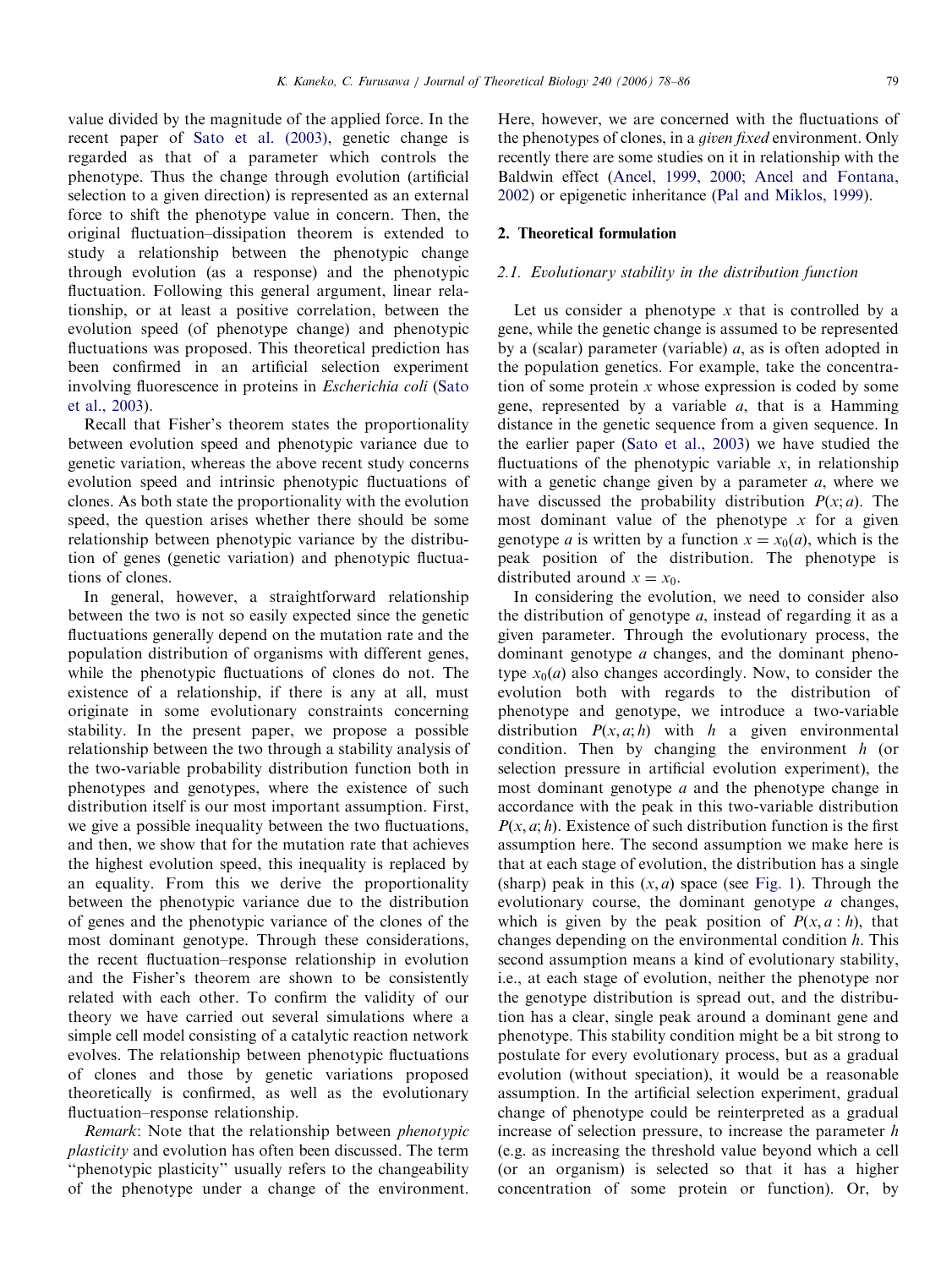value divided by the magnitude of the applied force. In the recent paper of [Sato et al. \(2003\)](#page-8-0), genetic change is regarded as that of a parameter which controls the phenotype. Thus the change through evolution (artificial selection to a given direction) is represented as an external force to shift the phenotype value in concern. Then, the original fluctuation–dissipation theorem is extended to study a relationship between the phenotypic change through evolution (as a response) and the phenotypic fluctuation. Following this general argument, linear relationship, or at least a positive correlation, between the evolution speed (of phenotype change) and phenotypic fluctuations was proposed. This theoretical prediction has been confirmed in an artificial selection experiment involving fluorescence in proteins in Escherichia coli [\(Sato](#page-8-0) [et al., 2003\)](#page-8-0).

Recall that Fisher's theorem states the proportionality between evolution speed and phenotypic variance due to genetic variation, whereas the above recent study concerns evolution speed and intrinsic phenotypic fluctuations of clones. As both state the proportionality with the evolution speed, the question arises whether there should be some relationship between phenotypic variance by the distribution of genes (genetic variation) and phenotypic fluctuations of clones.

In general, however, a straightforward relationship between the two is not so easily expected since the genetic fluctuations generally depend on the mutation rate and the population distribution of organisms with different genes, while the phenotypic fluctuations of clones do not. The existence of a relationship, if there is any at all, must originate in some evolutionary constraints concerning stability. In the present paper, we propose a possible relationship between the two through a stability analysis of the two-variable probability distribution function both in phenotypes and genotypes, where the existence of such distribution itself is our most important assumption. First, we give a possible inequality between the two fluctuations, and then, we show that for the mutation rate that achieves the highest evolution speed, this inequality is replaced by an equality. From this we derive the proportionality between the phenotypic variance due to the distribution of genes and the phenotypic variance of the clones of the most dominant genotype. Through these considerations, the recent fluctuation–response relationship in evolution and the Fisher's theorem are shown to be consistently related with each other. To confirm the validity of our theory we have carried out several simulations where a simple cell model consisting of a catalytic reaction network evolves. The relationship between phenotypic fluctuations of clones and those by genetic variations proposed theoretically is confirmed, as well as the evolutionary fluctuation–response relationship.

Remark: Note that the relationship between phenotypic plasticity and evolution has often been discussed. The term ''phenotypic plasticity'' usually refers to the changeability of the phenotype under a change of the environment. Here, however, we are concerned with the fluctuations of the phenotypes of clones, in a given fixed environment. Only recently there are some studies on it in relationship with the Baldwin effect ([Ancel, 1999, 2000; Ancel and Fontana,](#page-7-0) [2002](#page-7-0)) or epigenetic inheritance ([Pal and Miklos, 1999](#page-8-0)).

## 2. Theoretical formulation

#### 2.1. Evolutionary stability in the distribution function

Let us consider a phenotype  $x$  that is controlled by a gene, while the genetic change is assumed to be represented by a (scalar) parameter (variable)  $a$ , as is often adopted in the population genetics. For example, take the concentration of some protein  $x$  whose expression is coded by some gene, represented by a variable  $a$ , that is a Hamming distance in the genetic sequence from a given sequence. In the earlier paper [\(Sato et al., 2003](#page-8-0)) we have studied the fluctuations of the phenotypic variable  $x$ , in relationship with a genetic change given by a parameter  $a$ , where we have discussed the probability distribution  $P(x; a)$ . The most dominant value of the phenotype  $x$  for a given genotype *a* is written by a function  $x = x_0(a)$ , which is the peak position of the distribution. The phenotype is distributed around  $x = x_0$ .

In considering the evolution, we need to consider also the distribution of genotype  $a$ , instead of regarding it as a given parameter. Through the evolutionary process, the dominant genotype a changes, and the dominant phenotype  $x_0(a)$  also changes accordingly. Now, to consider the evolution both with regards to the distribution of phenotype and genotype, we introduce a two-variable distribution  $P(x, a; h)$  with h a given environmental condition. Then by changing the environment  $h$  (or selection pressure in artificial evolution experiment), the most dominant genotype a and the phenotype change in accordance with the peak in this two-variable distribution  $P(x, a; h)$ . Existence of such distribution function is the first assumption here. The second assumption we make here is that at each stage of evolution, the distribution has a single (sharp) peak in this  $(x, a)$  space (see [Fig. 1](#page-2-0)). Through the evolutionary course, the dominant genotype a changes, which is given by the peak position of  $P(x, a : h)$ , that changes depending on the environmental condition h. This second assumption means a kind of evolutionary stability, i.e., at each stage of evolution, neither the phenotype nor the genotype distribution is spread out, and the distribution has a clear, single peak around a dominant gene and phenotype. This stability condition might be a bit strong to postulate for every evolutionary process, but as a gradual evolution (without speciation), it would be a reasonable assumption. In the artificial selection experiment, gradual change of phenotype could be reinterpreted as a gradual increase of selection pressure, to increase the parameter h (e.g. as increasing the threshold value beyond which a cell (or an organism) is selected so that it has a higher concentration of some protein or function). Or, by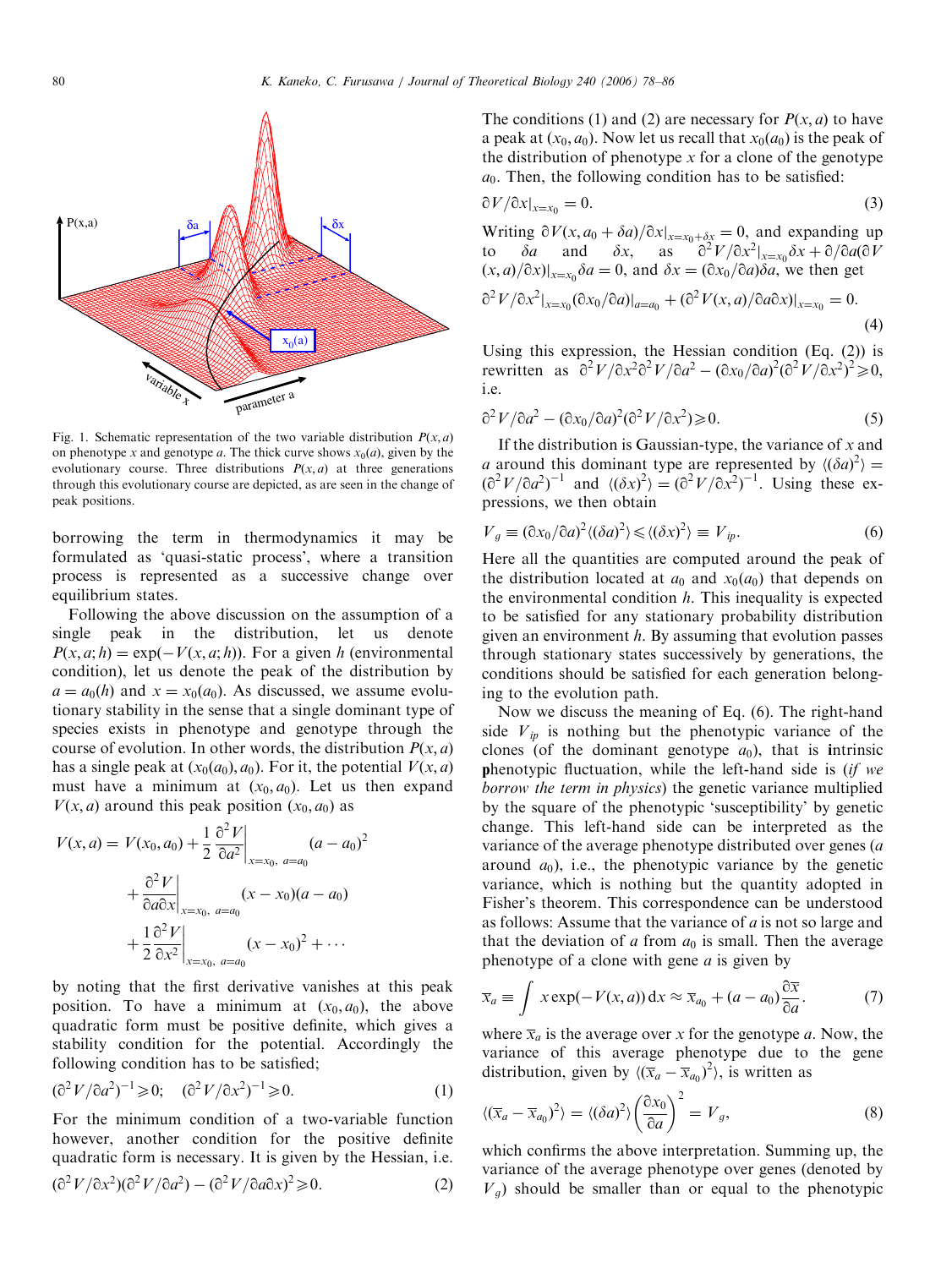<span id="page-2-0"></span>

Fig. 1. Schematic representation of the two variable distribution  $P(x, a)$ on phenotype x and genotype a. The thick curve shows  $x_0(a)$ , given by the evolutionary course. Three distributions  $P(x, a)$  at three generations through this evolutionary course are depicted, as are seen in the change of peak positions.

borrowing the term in thermodynamics it may be formulated as 'quasi-static process', where a transition process is represented as a successive change over equilibrium states.

Following the above discussion on the assumption of a single peak in the distribution, let us denote  $P(x, a; h) = \exp(-V(x, a; h))$ . For a given h (environmental condition), let us denote the peak of the distribution by  $a = a_0(h)$  and  $x = x_0(a_0)$ . As discussed, we assume evolutionary stability in the sense that a single dominant type of species exists in phenotype and genotype through the course of evolution. In other words, the distribution  $P(x, a)$ has a single peak at  $(x_0(a_0), a_0)$ . For it, the potential  $V(x, a)$ must have a minimum at  $(x_0, a_0)$ . Let us then expand  $V(x, a)$  around this peak position  $(x_0, a_0)$  as

$$
V(x, a) = V(x_0, a_0) + \frac{1}{2} \frac{\partial^2 V}{\partial a^2} \Big|_{x = x_0, a = a_0} (a - a_0)^2
$$
  
+  $\frac{\partial^2 V}{\partial a \partial x} \Big|_{x = x_0, a = a_0} (x - x_0)(a - a_0)$   
+  $\frac{1}{2} \frac{\partial^2 V}{\partial x^2} \Big|_{x = x_0, a = a_0} (x - x_0)^2 + \cdots$ 

by noting that the first derivative vanishes at this peak position. To have a minimum at  $(x_0, a_0)$ , the above quadratic form must be positive definite, which gives a stability condition for the potential. Accordingly the following condition has to be satisfied;

$$
(\partial^2 V / \partial a^2)^{-1} \ge 0; \quad (\partial^2 V / \partial x^2)^{-1} \ge 0.
$$
 (1)

For the minimum condition of a two-variable function however, another condition for the positive definite quadratic form is necessary. It is given by the Hessian, i.e.  $\left(\frac{\partial^2 V}{\partial x^2}\right)\left(\frac{\partial^2 V}{\partial a^2}\right) - \left(\frac{\partial^2 V}{\partial a \partial x}\right)^2 \ge 0.$  (2)

The conditions (1) and (2) are necessary for 
$$
P(x, a)
$$
 to have  
a peak at  $(x_0, a_0)$ . Now let us recall that  $x_0(a_0)$  is the peak of  
the distribution of phenotype x for a clone of the genotype  
 $a_0$ . Then, the following condition has to be satisfied:

$$
\left.\frac{\partial V}{\partial x}\right|_{x=x_0}=0.\tag{3}
$$

Writing  $\partial V(x, a_0 + \delta a)/\partial x|_{x=x_0+\delta x} = 0$ , and expanding up to  $\delta a$  and  $\delta x$ , as  $\partial^2 V/\partial x^2|_{x=x_0}\delta x + \partial/\partial a(\partial V)$  $(x, a)/\partial x\vert_{x=x_0}\delta a = 0$ , and  $\delta x = (\partial x_0/\partial a)\delta a$ , we then get

$$
\left\|\frac{\partial^2 V}{\partial x^2}\right\|_{x=x_0} \left(\frac{\partial x_0}{\partial a}\right)\big|_{a=a_0} + \left(\frac{\partial^2 V(x, a)}{\partial a \partial x}\right)\big|_{x=x_0} = 0. \tag{4}
$$

Using this expression, the Hessian condition (Eq. (2)) is rewritten as  $\frac{\partial^2 V}{\partial x^2} \frac{\partial^2 V}{\partial a^2} - \left(\frac{\partial x_0}{\partial a}\right)^2 \left(\frac{\partial^2 V}{\partial x^2}\right)^2 \ge 0$ , i.e.

$$
\partial^2 V / \partial a^2 - (\partial x_0 / \partial a)^2 (\partial^2 V / \partial x^2) \ge 0.
$$
 (5)

If the distribution is Gaussian-type, the variance of  $x$  and a around this dominant type are represented by  $\langle (\delta a)^2 \rangle =$  $\left(\frac{\partial^2 V}{\partial a^2}\right)^{-1}$  and  $\left(\left(\frac{\partial x}{\partial x}\right)^2\right) = \left(\frac{\partial^2 V}{\partial x^2}\right)^{-1}$ . Using these expressions, we then obtain

$$
V_g \equiv (\partial x_0 / \partial a)^2 \langle (\delta a)^2 \rangle \le \langle (\delta x)^2 \rangle \equiv V_{ip}.
$$
 (6)

Here all the quantities are computed around the peak of the distribution located at  $a_0$  and  $x_0(a_0)$  that depends on the environmental condition  $h$ . This inequality is expected to be satisfied for any stationary probability distribution given an environment  $h$ . By assuming that evolution passes through stationary states successively by generations, the conditions should be satisfied for each generation belonging to the evolution path.

Now we discuss the meaning of Eq. (6). The right-hand side  $V_{in}$  is nothing but the phenotypic variance of the clones (of the dominant genotype  $a_0$ ), that is intrinsic phenotypic fluctuation, while the left-hand side is (if we borrow the term in physics) the genetic variance multiplied by the square of the phenotypic 'susceptibility' by genetic change. This left-hand side can be interpreted as the variance of the average phenotype distributed over genes (a around  $a_0$ ), i.e., the phenotypic variance by the genetic variance, which is nothing but the quantity adopted in Fisher's theorem. This correspondence can be understood as follows: Assume that the variance of a is not so large and that the deviation of  $a$  from  $a_0$  is small. Then the average phenotype of a clone with gene  $a$  is given by

$$
\overline{x}_a \equiv \int x \exp(-V(x, a)) dx \approx \overline{x}_{a_0} + (a - a_0) \frac{\partial \overline{x}}{\partial a}.
$$
 (7)

where  $\overline{x}_a$  is the average over x for the genotype a. Now, the variance of this average phenotype due to the gene distribution, given by  $\langle (\overline{x}_a - \overline{x}_{a_0})^2 \rangle$ , is written as

$$
\langle (\overline{x}_a - \overline{x}_{a_0})^2 \rangle = \langle (\delta a)^2 \rangle \left( \frac{\partial x_0}{\partial a} \right)^2 = V_g,
$$
\n(8)

which confirms the above interpretation. Summing up, the variance of the average phenotype over genes (denoted by  $V<sub>g</sub>$ ) should be smaller than or equal to the phenotypic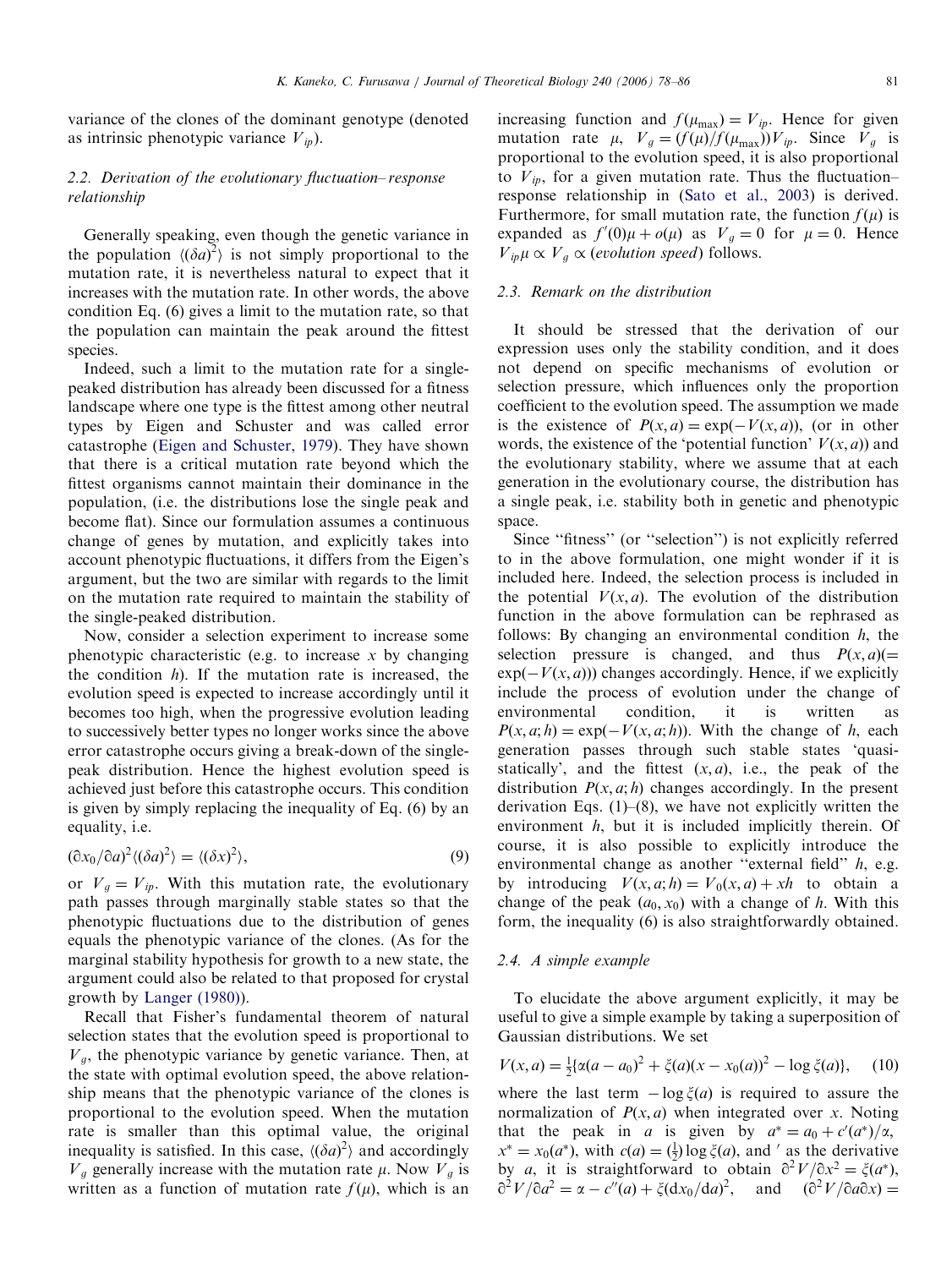variance of the clones of the dominant genotype (denoted as intrinsic phenotypic variance  $V_{ip}$ ).

# 2.2. Derivation of the evolutionary fluctuation– response relationship

Generally speaking, even though the genetic variance in the population  $\langle (\delta a)^2 \rangle$  is not simply proportional to the mutation rate, it is nevertheless natural to expect that it increases with the mutation rate. In other words, the above condition Eq. (6) gives a limit to the mutation rate, so that the population can maintain the peak around the fittest species.

Indeed, such a limit to the mutation rate for a singlepeaked distribution has already been discussed for a fitness landscape where one type is the fittest among other neutral types by Eigen and Schuster and was called error catastrophe ([Eigen and Schuster, 1979](#page-7-0)). They have shown that there is a critical mutation rate beyond which the fittest organisms cannot maintain their dominance in the population, (i.e. the distributions lose the single peak and become flat). Since our formulation assumes a continuous change of genes by mutation, and explicitly takes into account phenotypic fluctuations, it differs from the Eigen's argument, but the two are similar with regards to the limit on the mutation rate required to maintain the stability of the single-peaked distribution.

Now, consider a selection experiment to increase some phenotypic characteristic (e.g. to increase  $x$  by changing the condition  $h$ ). If the mutation rate is increased, the evolution speed is expected to increase accordingly until it becomes too high, when the progressive evolution leading to successively better types no longer works since the above error catastrophe occurs giving a break-down of the singlepeak distribution. Hence the highest evolution speed is achieved just before this catastrophe occurs. This condition is given by simply replacing the inequality of Eq. (6) by an equality, i.e.

$$
(\partial x_0/\partial a)^2 \langle (\delta a)^2 \rangle = \langle (\delta x)^2 \rangle, \tag{9}
$$

or  $V_g = V_{ip}$ . With this mutation rate, the evolutionary path passes through marginally stable states so that the phenotypic fluctuations due to the distribution of genes equals the phenotypic variance of the clones. (As for the marginal stability hypothesis for growth to a new state, the argument could also be related to that proposed for crystal growth by [Langer \(1980\)](#page-8-0)).

Recall that Fisher's fundamental theorem of natural selection states that the evolution speed is proportional to  $V<sub>q</sub>$ , the phenotypic variance by genetic variance. Then, at the state with optimal evolution speed, the above relationship means that the phenotypic variance of the clones is proportional to the evolution speed. When the mutation rate is smaller than this optimal value, the original inequality is satisfied. In this case,  $\langle (\delta a)^2 \rangle$  and accordingly  $V_a$  generally increase with the mutation rate  $\mu$ . Now  $V_a$  is written as a function of mutation rate  $f(\mu)$ , which is an increasing function and  $f(\mu_{\text{max}}) = V_{ip}$ . Hence for given mutation rate  $\mu$ ,  $V_g = (f(\mu)/f(\mu_{\text{max}}))V_{ip}$ . Since  $V_g$  is proportional to the evolution speed, it is also proportional to  $V_{ip}$ , for a given mutation rate. Thus the fluctuationresponse relationship in [\(Sato et al., 2003\)](#page-8-0) is derived. Furthermore, for small mutation rate, the function  $f(\mu)$  is expanded as  $f'(0)\mu + o(\mu)$  as  $V_g = 0$  for  $\mu = 0$ . Hence  $V_{ip}\mu \propto V_a \propto (evolution\ speed)$  follows.

#### 2.3. Remark on the distribution

It should be stressed that the derivation of our expression uses only the stability condition, and it does not depend on specific mechanisms of evolution or selection pressure, which influences only the proportion coefficient to the evolution speed. The assumption we made is the existence of  $P(x, a) = \exp(-V(x, a))$ , (or in other words, the existence of the 'potential function'  $V(x, a)$  and the evolutionary stability, where we assume that at each generation in the evolutionary course, the distribution has a single peak, i.e. stability both in genetic and phenotypic space.

Since ''fitness'' (or ''selection'') is not explicitly referred to in the above formulation, one might wonder if it is included here. Indeed, the selection process is included in the potential  $V(x, a)$ . The evolution of the distribution function in the above formulation can be rephrased as follows: By changing an environmental condition  $h$ , the selection pressure is changed, and thus  $P(x, a)$ (=  $exp(-V(x, a))$  changes accordingly. Hence, if we explicitly include the process of evolution under the change of environmental condition, it is written as  $P(x, a; h) = \exp(-V(x, a; h))$ . With the change of h, each generation passes through such stable states 'quasistatically', and the fittest  $(x, a)$ , i.e., the peak of the distribution  $P(x, a; h)$  changes accordingly. In the present derivation Eqs. (1)–(8), we have not explicitly written the environment *h*, but it is included implicitly therein. Of course, it is also possible to explicitly introduce the environmental change as another "external field" h, e.g. by introducing  $V(x, a; h) = V_0(x, a) + xh$  to obtain a change of the peak  $(a_0, x_0)$  with a change of h. With this form, the inequality (6) is also straightforwardly obtained.

#### 2.4. A simple example

To elucidate the above argument explicitly, it may be useful to give a simple example by taking a superposition of Gaussian distributions. We set

$$
V(x,a) = \frac{1}{2} [\alpha (a - a_0)^2 + \xi (a)(x - x_0(a))^2 - \log \xi (a)], \quad (10)
$$

where the last term  $-\log \xi(a)$  is required to assure the normalization of  $P(x, a)$  when integrated over x. Noting that the peak in *a* is given by  $a^* = a_0 + c'(a^*)/\alpha$ ,  $x^* = x_0(a^*)$ , with  $c(a) = (\frac{1}{2}) \log \xi(a)$ , and ' as the derivative by a, it is straightforward to obtain  $\partial^2 V/\partial x^2 = \xi(a^*)$ ,  $\partial^2 V/\partial a^2 = \alpha - c''(a) + \xi (\frac{dx_0}{da})^2$ , and  $(\partial^2 V/\partial a \partial x) =$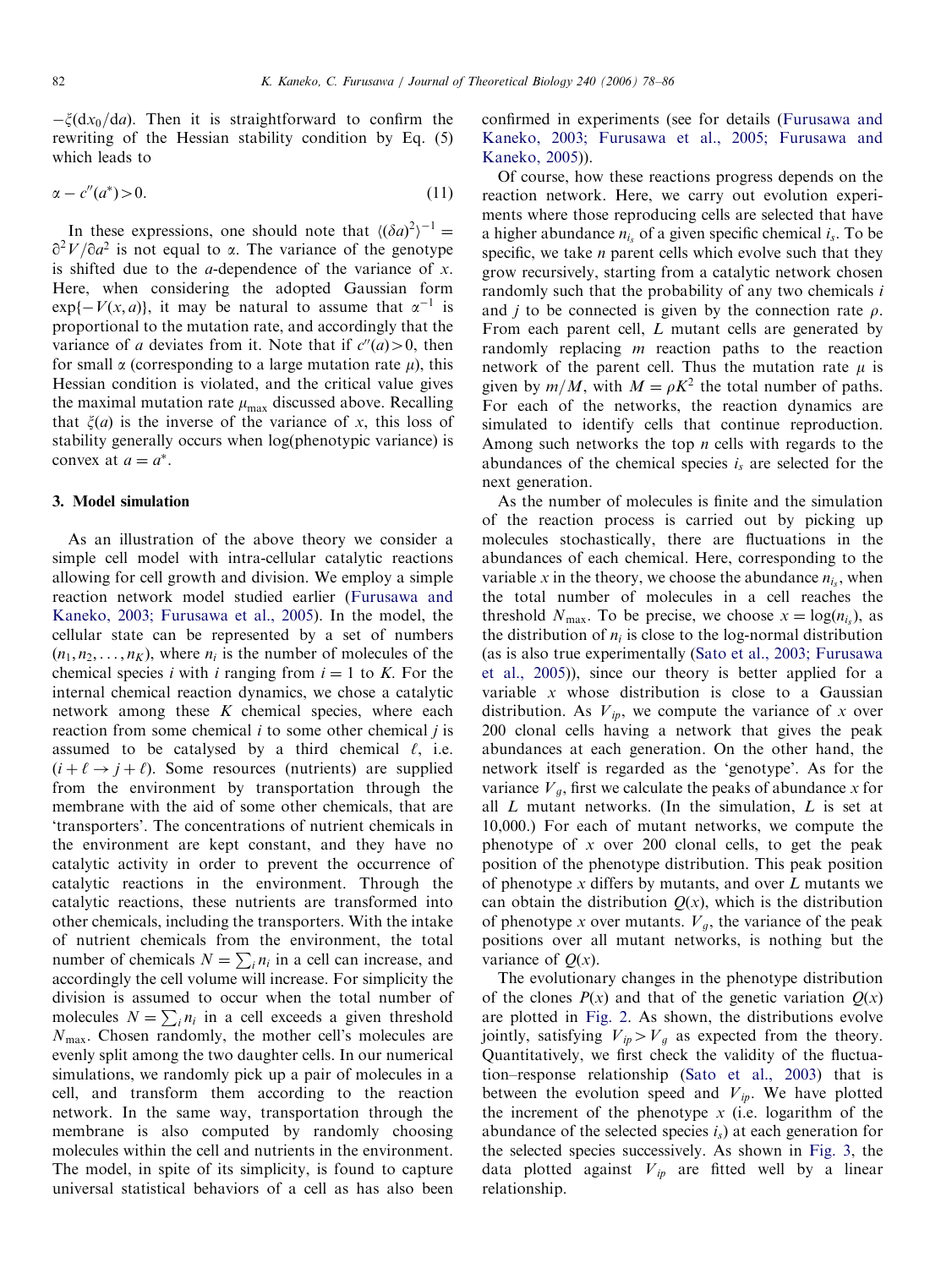$-\xi(\frac{d^2x_0}{da})$ . Then it is straightforward to confirm the rewriting of the Hessian stability condition by Eq. (5) which leads to

$$
\alpha - c''(a^*) > 0. \tag{11}
$$

In these expressions, one should note that  $\langle (\delta a)^2 \rangle^{-1} =$  $\partial^2 V/\partial a^2$  is not equal to  $\alpha$ . The variance of the genotype is shifted due to the *a*-dependence of the variance of  $x$ . Here, when considering the adopted Gaussian form  $exp{-V(x, a)}$ , it may be natural to assume that  $\alpha^{-1}$  is proportional to the mutation rate, and accordingly that the variance of a deviates from it. Note that if  $c''(a) > 0$ , then for small  $\alpha$  (corresponding to a large mutation rate  $\mu$ ), this Hessian condition is violated, and the critical value gives the maximal mutation rate  $\mu_{\text{max}}$  discussed above. Recalling that  $\xi(a)$  is the inverse of the variance of x, this loss of stability generally occurs when log(phenotypic variance) is convex at  $a = a^*$ .

## 3. Model simulation

As an illustration of the above theory we consider a simple cell model with intra-cellular catalytic reactions allowing for cell growth and division. We employ a simple reaction network model studied earlier [\(Furusawa and](#page-7-0) [Kaneko, 2003; Furusawa et al., 2005](#page-7-0)). In the model, the cellular state can be represented by a set of numbers  $(n_1, n_2, \ldots, n_K)$ , where  $n_i$  is the number of molecules of the chemical species i with i ranging from  $i = 1$  to K. For the internal chemical reaction dynamics, we chose a catalytic network among these  $K$  chemical species, where each reaction from some chemical  $i$  to some other chemical  $j$  is assumed to be catalysed by a third chemical  $\ell$ , i.e.  $(i + \ell \rightarrow j + \ell)$ . Some resources (nutrients) are supplied from the environment by transportation through the membrane with the aid of some other chemicals, that are 'transporters'. The concentrations of nutrient chemicals in the environment are kept constant, and they have no catalytic activity in order to prevent the occurrence of catalytic reactions in the environment. Through the catalytic reactions, these nutrients are transformed into other chemicals, including the transporters. With the intake of nutrient chemicals from the environment, the total number of chemicals  $N = \sum_i n_i$  in a cell can increase, and accordingly the cell volume will increase. For simplicity the division is assumed to occur when the total number of molecules  $N = \sum_i n_i$  in a cell exceeds a given threshold  $N_{\text{max}}$ . Chosen randomly, the mother cell's molecules are evenly split among the two daughter cells. In our numerical simulations, we randomly pick up a pair of molecules in a cell, and transform them according to the reaction network. In the same way, transportation through the membrane is also computed by randomly choosing molecules within the cell and nutrients in the environment. The model, in spite of its simplicity, is found to capture universal statistical behaviors of a cell as has also been

confirmed in experiments (see for details ([Furusawa and](#page-7-0) [Kaneko, 2003; Furusawa et al., 2005; Furusawa and](#page-7-0) [Kaneko, 2005\)](#page-7-0)).

Of course, how these reactions progress depends on the reaction network. Here, we carry out evolution experiments where those reproducing cells are selected that have a higher abundance  $n_{i_s}$  of a given specific chemical  $i_s$ . To be specific, we take  $n$  parent cells which evolve such that they grow recursively, starting from a catalytic network chosen randomly such that the probability of any two chemicals  $i$ and *j* to be connected is given by the connection rate  $\rho$ . From each parent cell, L mutant cells are generated by randomly replacing  $m$  reaction paths to the reaction network of the parent cell. Thus the mutation rate  $\mu$  is given by  $m/M$ , with  $M = \rho K^2$  the total number of paths. For each of the networks, the reaction dynamics are simulated to identify cells that continue reproduction. Among such networks the top  $n$  cells with regards to the abundances of the chemical species  $i_s$  are selected for the next generation.

As the number of molecules is finite and the simulation of the reaction process is carried out by picking up molecules stochastically, there are fluctuations in the abundances of each chemical. Here, corresponding to the variable x in the theory, we choose the abundance  $n_{i_s}$ , when the total number of molecules in a cell reaches the threshold  $N_{\text{max}}$ . To be precise, we choose  $x = \log(n_{i_s})$ , as the distribution of  $n_i$  is close to the log-normal distribution (as is also true experimentally [\(Sato et al., 2003; Furusawa](#page-8-0) [et al., 2005\)](#page-8-0)), since our theory is better applied for a variable  $x$  whose distribution is close to a Gaussian distribution. As  $V_{ip}$ , we compute the variance of x over 200 clonal cells having a network that gives the peak abundances at each generation. On the other hand, the network itself is regarded as the 'genotype'. As for the variance  $V_a$ , first we calculate the peaks of abundance x for all  $L$  mutant networks. (In the simulation,  $L$  is set at 10,000.) For each of mutant networks, we compute the phenotype of  $x$  over 200 clonal cells, to get the peak position of the phenotype distribution. This peak position of phenotype x differs by mutants, and over  $L$  mutants we can obtain the distribution  $Q(x)$ , which is the distribution of phenotype x over mutants.  $V_g$ , the variance of the peak positions over all mutant networks, is nothing but the variance of  $Q(x)$ .

The evolutionary changes in the phenotype distribution of the clones  $P(x)$  and that of the genetic variation  $Q(x)$ are plotted in [Fig. 2.](#page-5-0) As shown, the distributions evolve jointly, satisfying  $V_{ip} > V_g$  as expected from the theory. Quantitatively, we first check the validity of the fluctuation–response relationship [\(Sato et al., 2003](#page-8-0)) that is between the evolution speed and  $V_{ip}$ . We have plotted the increment of the phenotype  $x$  (i.e. logarithm of the abundance of the selected species  $i_s$ ) at each generation for the selected species successively. As shown in [Fig. 3,](#page-5-0) the data plotted against  $V_{ip}$  are fitted well by a linear relationship.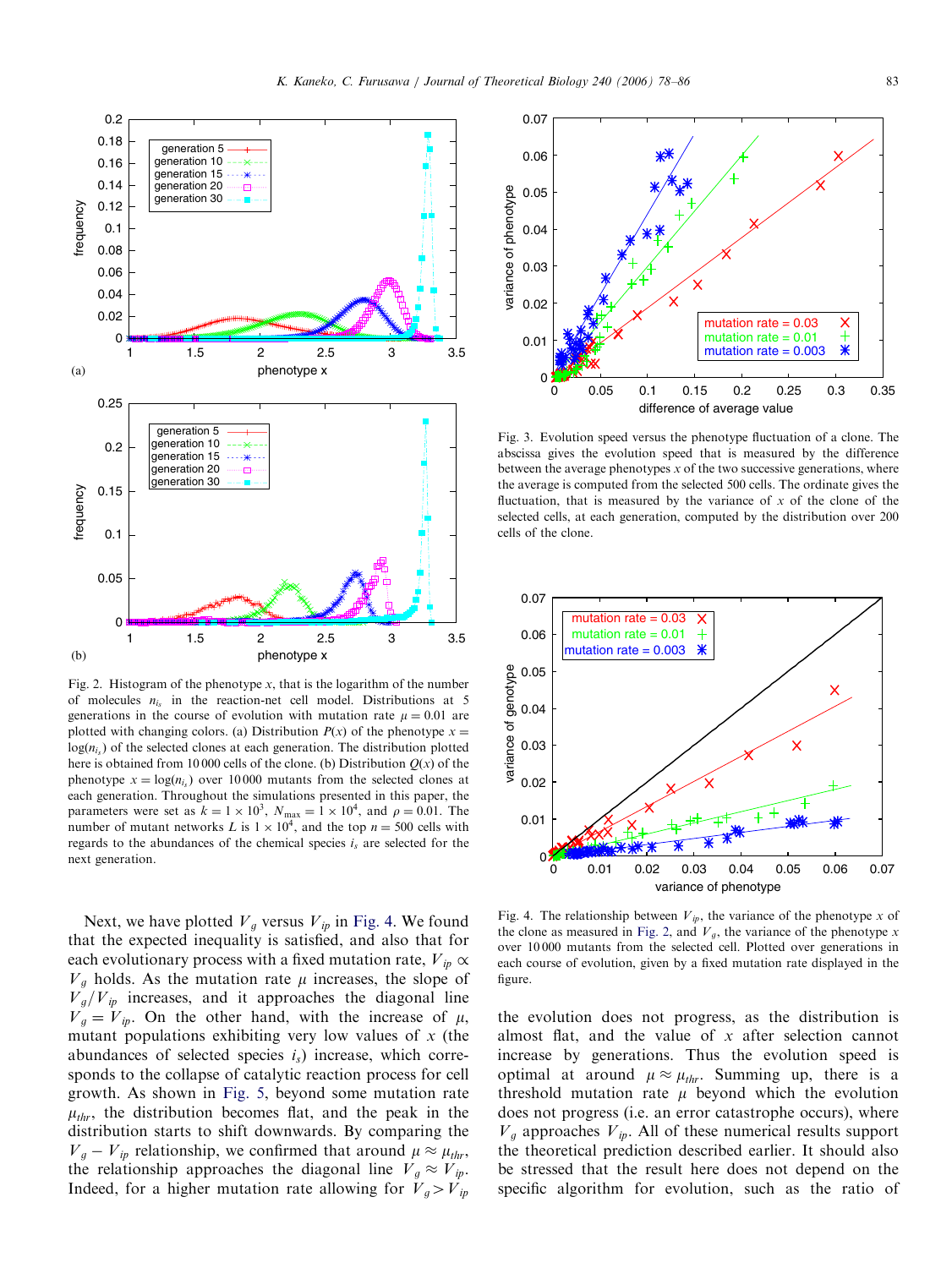<span id="page-5-0"></span>

Fig. 2. Histogram of the phenotype  $x$ , that is the logarithm of the number of molecules  $n_{i_s}$  in the reaction-net cell model. Distributions at 5 generations in the course of evolution with mutation rate  $\mu = 0.01$  are plotted with changing colors. (a) Distribution  $P(x)$  of the phenotype  $x =$  $log(n_{i<sub>s</sub>})$  of the selected clones at each generation. The distribution plotted here is obtained from 10 000 cells of the clone. (b) Distribution  $Q(x)$  of the phenotype  $x = log(n_{i_s})$  over 10 000 mutants from the selected clones at each generation. Throughout the simulations presented in this paper, the parameters were set as  $k = 1 \times 10^3$ ,  $N_{\text{max}} = 1 \times 10^4$ , and  $\rho = 0.01$ . The number of mutant networks L is  $1 \times 10^4$ , and the top  $n = 500$  cells with regards to the abundances of the chemical species  $i<sub>s</sub>$  are selected for the next generation.

Next, we have plotted  $V_g$  versus  $V_{ip}$  in Fig. 4. We found that the expected inequality is satisfied, and also that for each evolutionary process with a fixed mutation rate,  $V_{ip} \propto$  $V_g$  holds. As the mutation rate  $\mu$  increases, the slope of  $V_g/V_{ip}$  increases, and it approaches the diagonal line  $V_a = V_{ip}$ . On the other hand, with the increase of  $\mu$ , mutant populations exhibiting very low values of  $x$  (the abundances of selected species  $i<sub>s</sub>$ ) increase, which corresponds to the collapse of catalytic reaction process for cell growth. As shown in [Fig. 5](#page-6-0), beyond some mutation rate  $\mu_{thr}$ , the distribution becomes flat, and the peak in the distribution starts to shift downwards. By comparing the  $V_q - V_{ip}$  relationship, we confirmed that around  $\mu \approx \mu_{thr}$ , the relationship approaches the diagonal line  $V_q \approx V_{ip}$ . Indeed, for a higher mutation rate allowing for  $V_q > V_{ip}$ 



Fig. 3. Evolution speed versus the phenotype fluctuation of a clone. The abscissa gives the evolution speed that is measured by the difference between the average phenotypes  $x$  of the two successive generations, where the average is computed from the selected 500 cells. The ordinate gives the fluctuation, that is measured by the variance of  $x$  of the clone of the selected cells, at each generation, computed by the distribution over 200 cells of the clone.



Fig. 4. The relationship between  $V_{ip}$ , the variance of the phenotype x of the clone as measured in Fig. 2, and  $V<sub>q</sub>$ , the variance of the phenotype x over 10 000 mutants from the selected cell. Plotted over generations in each course of evolution, given by a fixed mutation rate displayed in the figure.

the evolution does not progress, as the distribution is almost flat, and the value of x after selection cannot increase by generations. Thus the evolution speed is optimal at around  $\mu \approx \mu_{thr}$ . Summing up, there is a threshold mutation rate  $\mu$  beyond which the evolution does not progress (i.e. an error catastrophe occurs), where  $V_g$  approaches  $V_{ip}$ . All of these numerical results support the theoretical prediction described earlier. It should also be stressed that the result here does not depend on the specific algorithm for evolution, such as the ratio of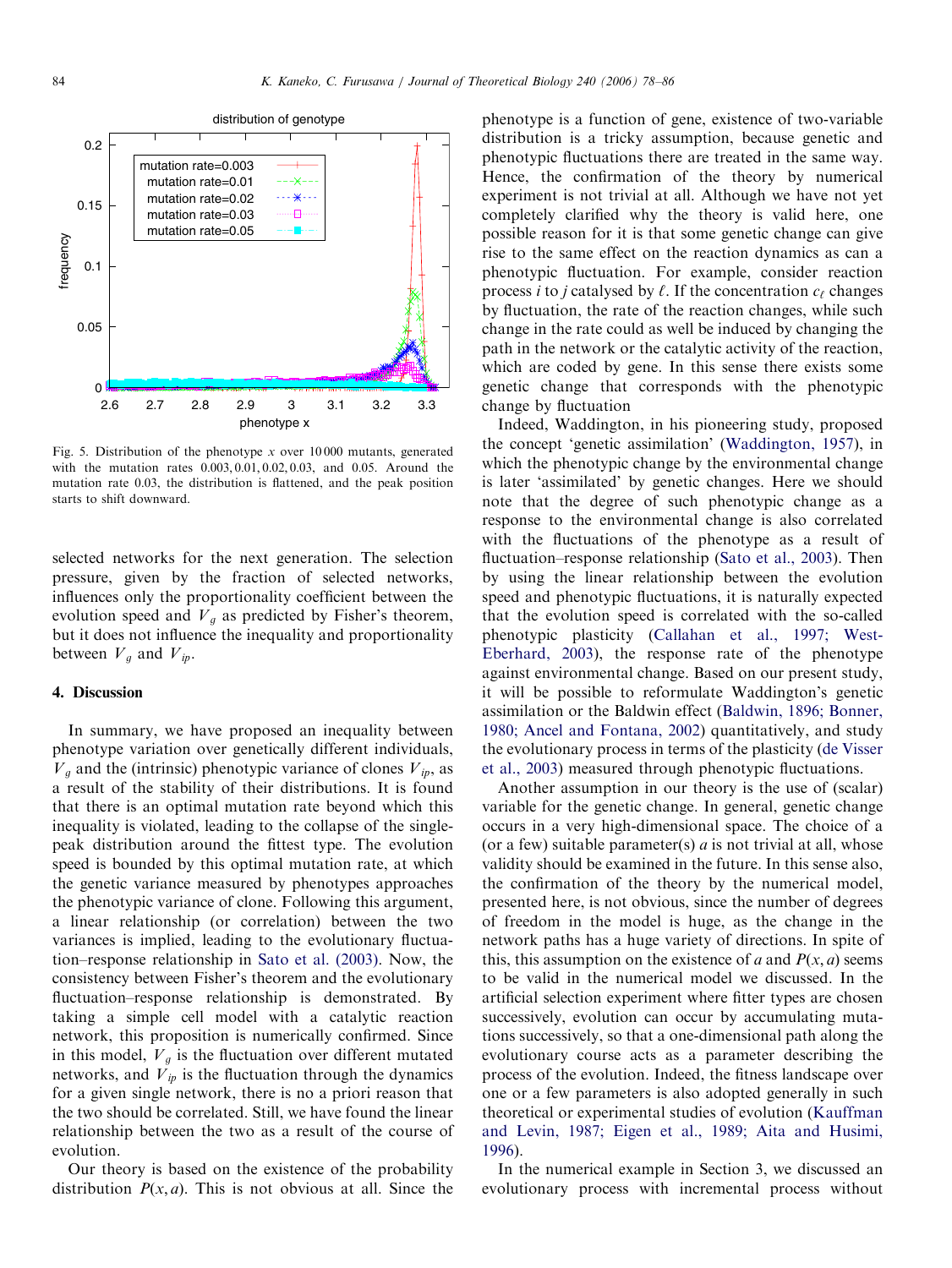<span id="page-6-0"></span>

Fig. 5. Distribution of the phenotype  $x$  over 10 000 mutants, generated with the mutation rates 0.003, 0.01, 0.02, 0.03, and 0.05. Around the mutation rate 0.03, the distribution is flattened, and the peak position starts to shift downward.

selected networks for the next generation. The selection pressure, given by the fraction of selected networks, influences only the proportionality coefficient between the evolution speed and  $V_g$  as predicted by Fisher's theorem, but it does not influence the inequality and proportionality between  $V_g$  and  $V_{ip}$ .

#### 4. Discussion

In summary, we have proposed an inequality between phenotype variation over genetically different individuals,  $V_a$  and the (intrinsic) phenotypic variance of clones  $V_{in}$ , as a result of the stability of their distributions. It is found that there is an optimal mutation rate beyond which this inequality is violated, leading to the collapse of the singlepeak distribution around the fittest type. The evolution speed is bounded by this optimal mutation rate, at which the genetic variance measured by phenotypes approaches the phenotypic variance of clone. Following this argument, a linear relationship (or correlation) between the two variances is implied, leading to the evolutionary fluctuation–response relationship in [Sato et al. \(2003\).](#page-8-0) Now, the consistency between Fisher's theorem and the evolutionary fluctuation–response relationship is demonstrated. By taking a simple cell model with a catalytic reaction network, this proposition is numerically confirmed. Since in this model,  $V_g$  is the fluctuation over different mutated networks, and  $V_{ip}$  is the fluctuation through the dynamics for a given single network, there is no a priori reason that the two should be correlated. Still, we have found the linear relationship between the two as a result of the course of evolution.

Our theory is based on the existence of the probability distribution  $P(x, a)$ . This is not obvious at all. Since the

phenotype is a function of gene, existence of two-variable distribution is a tricky assumption, because genetic and phenotypic fluctuations there are treated in the same way. Hence, the confirmation of the theory by numerical experiment is not trivial at all. Although we have not yet completely clarified why the theory is valid here, one possible reason for it is that some genetic change can give rise to the same effect on the reaction dynamics as can a phenotypic fluctuation. For example, consider reaction process *i* to *j* catalysed by  $\ell$ . If the concentration  $c_{\ell}$  changes by fluctuation, the rate of the reaction changes, while such change in the rate could as well be induced by changing the path in the network or the catalytic activity of the reaction, which are coded by gene. In this sense there exists some genetic change that corresponds with the phenotypic change by fluctuation

Indeed, Waddington, in his pioneering study, proposed the concept 'genetic assimilation' [\(Waddington, 1957](#page-8-0)), in which the phenotypic change by the environmental change is later 'assimilated' by genetic changes. Here we should note that the degree of such phenotypic change as a response to the environmental change is also correlated with the fluctuations of the phenotype as a result of fluctuation–response relationship ([Sato et al., 2003](#page-8-0)). Then by using the linear relationship between the evolution speed and phenotypic fluctuations, it is naturally expected that the evolution speed is correlated with the so-called phenotypic plasticity [\(Callahan et al., 1997; West-](#page-7-0)[Eberhard, 2003\)](#page-7-0), the response rate of the phenotype against environmental change. Based on our present study, it will be possible to reformulate Waddington's genetic assimilation or the Baldwin effect ([Baldwin, 1896; Bonner,](#page-7-0) [1980; Ancel and Fontana, 2002](#page-7-0)) quantitatively, and study the evolutionary process in terms of the plasticity ([de Visser](#page-8-0) [et al., 2003](#page-8-0)) measured through phenotypic fluctuations.

Another assumption in our theory is the use of (scalar) variable for the genetic change. In general, genetic change occurs in a very high-dimensional space. The choice of a (or a few) suitable parameter(s)  $\alpha$  is not trivial at all, whose validity should be examined in the future. In this sense also, the confirmation of the theory by the numerical model, presented here, is not obvious, since the number of degrees of freedom in the model is huge, as the change in the network paths has a huge variety of directions. In spite of this, this assumption on the existence of a and  $P(x, a)$  seems to be valid in the numerical model we discussed. In the artificial selection experiment where fitter types are chosen successively, evolution can occur by accumulating mutations successively, so that a one-dimensional path along the evolutionary course acts as a parameter describing the process of the evolution. Indeed, the fitness landscape over one or a few parameters is also adopted generally in such theoretical or experimental studies of evolution ([Kauffman](#page-7-0) [and Levin, 1987; Eigen et al., 1989; Aita and Husimi,](#page-7-0) [1996\)](#page-7-0).

In the numerical example in Section 3, we discussed an evolutionary process with incremental process without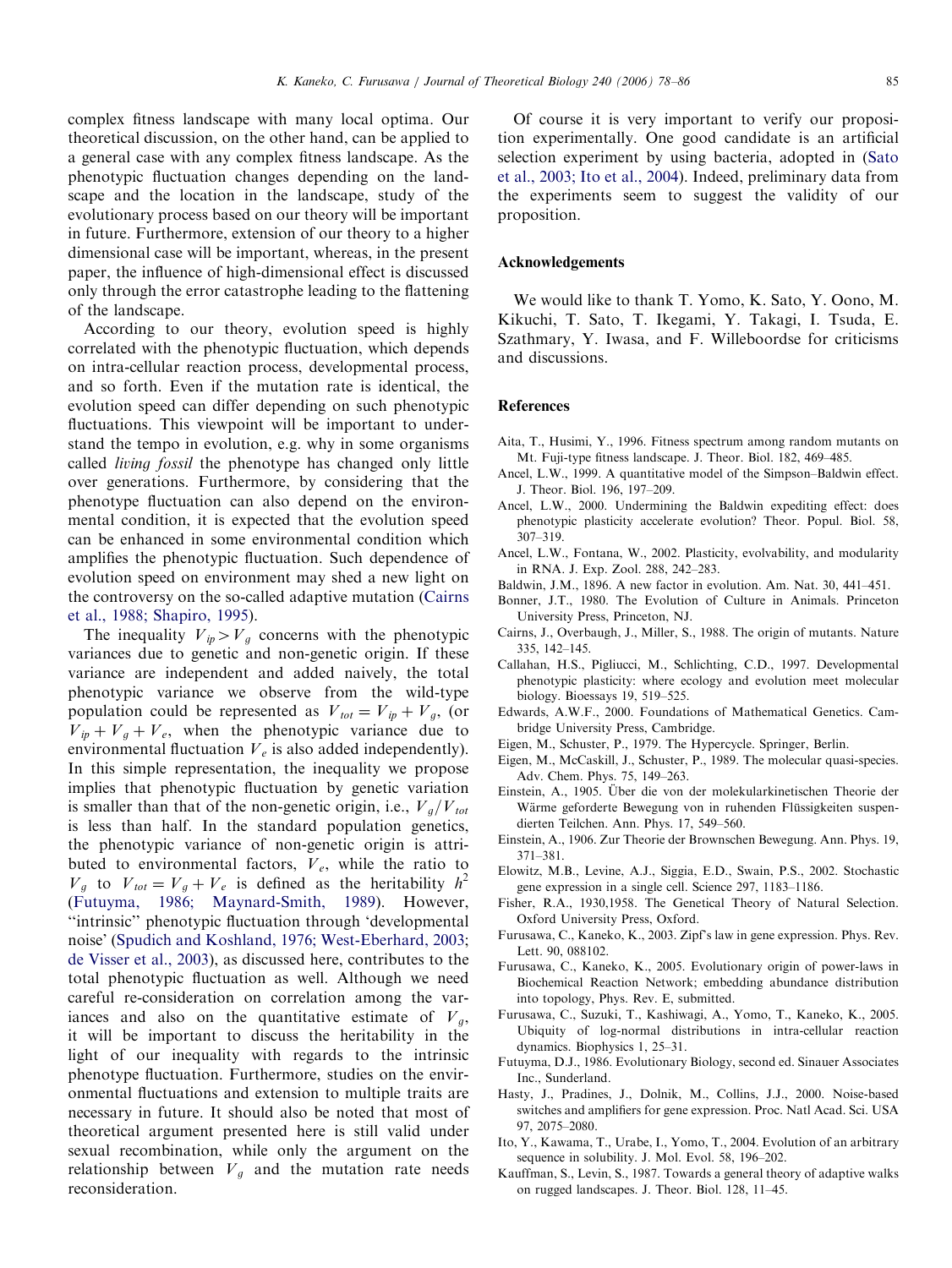<span id="page-7-0"></span>complex fitness landscape with many local optima. Our theoretical discussion, on the other hand, can be applied to a general case with any complex fitness landscape. As the phenotypic fluctuation changes depending on the landscape and the location in the landscape, study of the evolutionary process based on our theory will be important in future. Furthermore, extension of our theory to a higher dimensional case will be important, whereas, in the present paper, the influence of high-dimensional effect is discussed only through the error catastrophe leading to the flattening of the landscape.

According to our theory, evolution speed is highly correlated with the phenotypic fluctuation, which depends on intra-cellular reaction process, developmental process, and so forth. Even if the mutation rate is identical, the evolution speed can differ depending on such phenotypic fluctuations. This viewpoint will be important to understand the tempo in evolution, e.g. why in some organisms called living fossil the phenotype has changed only little over generations. Furthermore, by considering that the phenotype fluctuation can also depend on the environmental condition, it is expected that the evolution speed can be enhanced in some environmental condition which amplifies the phenotypic fluctuation. Such dependence of evolution speed on environment may shed a new light on the controversy on the so-called adaptive mutation (Cairns et al., 1988; Shapiro, 1995).

The inequality  $V_{ip} > V_g$  concerns with the phenotypic variances due to genetic and non-genetic origin. If these variance are independent and added naively, the total phenotypic variance we observe from the wild-type population could be represented as  $V_{tot} = V_{ip} + V_q$ , (or  $V_{ip} + V_g + V_e$ , when the phenotypic variance due to environmental fluctuation  $V_e$  is also added independently). In this simple representation, the inequality we propose implies that phenotypic fluctuation by genetic variation is smaller than that of the non-genetic origin, i.e.,  $V_q/V_{tot}$ is less than half. In the standard population genetics, the phenotypic variance of non-genetic origin is attributed to environmental factors,  $V_e$ , while the ratio to  $V_g$  to  $V_{tot} = V_g + V_e$  is defined as the heritability  $h^2$ (Futuyma, 1986; Maynard-Smith, 1989). However, ''intrinsic'' phenotypic fluctuation through 'developmental noise' ([Spudich and Koshland, 1976; West-Eberhard, 2003;](#page-8-0) [de Visser et al., 2003\)](#page-8-0), as discussed here, contributes to the total phenotypic fluctuation as well. Although we need careful re-consideration on correlation among the variances and also on the quantitative estimate of  $V_a$ , it will be important to discuss the heritability in the light of our inequality with regards to the intrinsic phenotype fluctuation. Furthermore, studies on the environmental fluctuations and extension to multiple traits are necessary in future. It should also be noted that most of theoretical argument presented here is still valid under sexual recombination, while only the argument on the relationship between  $V<sub>q</sub>$  and the mutation rate needs reconsideration.

Of course it is very important to verify our proposition experimentally. One good candidate is an artificial selection experiment by using bacteria, adopted in [\(Sato](#page-8-0) [et al., 2003; Ito et al., 2004\)](#page-8-0). Indeed, preliminary data from the experiments seem to suggest the validity of our proposition.

# Acknowledgements

We would like to thank T. Yomo, K. Sato, Y. Oono, M. Kikuchi, T. Sato, T. Ikegami, Y. Takagi, I. Tsuda, E. Szathmary, Y. Iwasa, and F. Willeboordse for criticisms and discussions.

#### References

- Aita, T., Husimi, Y., 1996. Fitness spectrum among random mutants on Mt. Fuji-type fitness landscape. J. Theor. Biol. 182, 469–485.
- Ancel, L.W., 1999. A quantitative model of the Simpson–Baldwin effect. J. Theor. Biol. 196, 197–209.
- Ancel, L.W., 2000. Undermining the Baldwin expediting effect: does phenotypic plasticity accelerate evolution? Theor. Popul. Biol. 58, 307–319.
- Ancel, L.W., Fontana, W., 2002. Plasticity, evolvability, and modularity in RNA. J. Exp. Zool. 288, 242–283.
- Baldwin, J.M., 1896. A new factor in evolution. Am. Nat. 30, 441–451.
- Bonner, J.T., 1980. The Evolution of Culture in Animals. Princeton University Press, Princeton, NJ.
- Cairns, J., Overbaugh, J., Miller, S., 1988. The origin of mutants. Nature 335, 142–145.
- Callahan, H.S., Pigliucci, M., Schlichting, C.D., 1997. Developmental phenotypic plasticity: where ecology and evolution meet molecular biology. Bioessays 19, 519–525.
- Edwards, A.W.F., 2000. Foundations of Mathematical Genetics. Cambridge University Press, Cambridge.
- Eigen, M., Schuster, P., 1979. The Hypercycle. Springer, Berlin.
- Eigen, M., McCaskill, J., Schuster, P., 1989. The molecular quasi-species. Adv. Chem. Phys. 75, 149–263.
- Einstein, A., 1905. Über die von der molekularkinetischen Theorie der Wärme geforderte Bewegung von in ruhenden Flüssigkeiten suspendierten Teilchen. Ann. Phys. 17, 549–560.
- Einstein, A., 1906. Zur Theorie der Brownschen Bewegung. Ann. Phys. 19, 371–381.
- Elowitz, M.B., Levine, A.J., Siggia, E.D., Swain, P.S., 2002. Stochastic gene expression in a single cell. Science 297, 1183–1186.
- Fisher, R.A., 1930,1958. The Genetical Theory of Natural Selection. Oxford University Press, Oxford.
- Furusawa, C., Kaneko, K., 2003. Zipf's law in gene expression. Phys. Rev. Lett. 90, 088102.
- Furusawa, C., Kaneko, K., 2005. Evolutionary origin of power-laws in Biochemical Reaction Network; embedding abundance distribution into topology, Phys. Rev. E, submitted.
- Furusawa, C., Suzuki, T., Kashiwagi, A., Yomo, T., Kaneko, K., 2005. Ubiquity of log-normal distributions in intra-cellular reaction dynamics. Biophysics 1, 25–31.
- Futuyma, D.J., 1986. Evolutionary Biology, second ed. Sinauer Associates Inc., Sunderland.
- Hasty, J., Pradines, J., Dolnik, M., Collins, J.J., 2000. Noise-based switches and amplifiers for gene expression. Proc. Natl Acad. Sci. USA 97, 2075–2080.
- Ito, Y., Kawama, T., Urabe, I., Yomo, T., 2004. Evolution of an arbitrary sequence in solubility. J. Mol. Evol. 58, 196–202.
- Kauffman, S., Levin, S., 1987. Towards a general theory of adaptive walks on rugged landscapes. J. Theor. Biol. 128, 11–45.